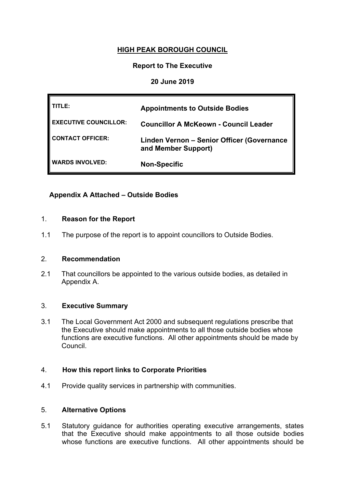# **HIGH PEAK BOROUGH COUNCIL**

# **Report to The Executive**

# **20 June 2019**

| TITLE:                       | <b>Appointments to Outside Bodies</b>                             |
|------------------------------|-------------------------------------------------------------------|
| <b>EXECUTIVE COUNCILLOR:</b> | <b>Councillor A McKeown - Council Leader</b>                      |
| CONTACT OFFICER:             | Linden Vernon - Senior Officer (Governance<br>and Member Support) |
| <b>WARDS INVOLVED:</b>       | <b>Non-Specific</b>                                               |

# **Appendix A Attached – Outside Bodies**

#### 1. **Reason for the Report**

1.1 The purpose of the report is to appoint councillors to Outside Bodies.

## 2. **Recommendation**

2.1 That councillors be appointed to the various outside bodies, as detailed in Appendix A.

#### 3. **Executive Summary**

3.1 The Local Government Act 2000 and subsequent regulations prescribe that the Executive should make appointments to all those outside bodies whose functions are executive functions. All other appointments should be made by Council.

## 4. **How this report links to Corporate Priorities**

4.1 Provide quality services in partnership with communities.

## 5. **Alternative Options**

5.1 Statutory guidance for authorities operating executive arrangements, states that the Executive should make appointments to all those outside bodies whose functions are executive functions. All other appointments should be